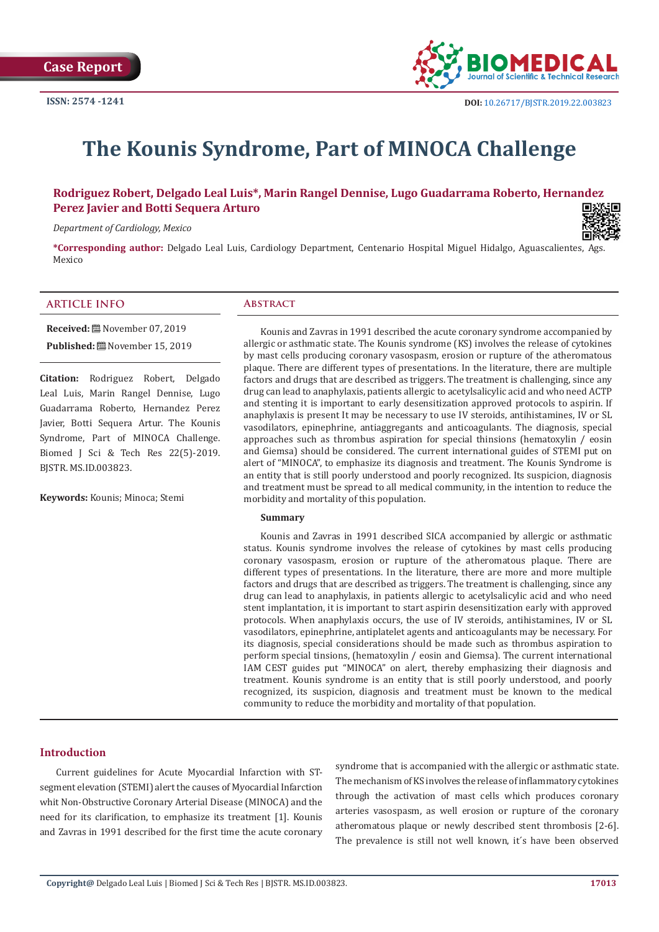

# **The Kounis Syndrome, Part of MINOCA Challenge**

**Rodriguez Robert, Delgado Leal Luis\*, Marin Rangel Dennise, Lugo Guadarrama Roberto, Hernandez Perez Javier and Botti Sequera Arturo**

*Department of Cardiology, Mexico*



**\*Corresponding author:** Delgado Leal Luis, Cardiology Department, Centenario Hospital Miguel Hidalgo, Aguascalientes, Ags. Mexico

### **ARTICLE INFO Abstract**

**Received:** November 07, 2019 **Published:** November 15, 2019

**Citation:** Rodriguez Robert, Delgado Leal Luis, Marin Rangel Dennise, Lugo Guadarrama Roberto, Hernandez Perez Javier, Botti Sequera Artur. The Kounis Syndrome, Part of MINOCA Challenge. Biomed J Sci & Tech Res 22(5)-2019. BJSTR. MS.ID.003823.

**Keywords:** Kounis; Minoca; Stemi

Kounis and Zavras in 1991 described the acute coronary syndrome accompanied by allergic or asthmatic state. The Kounis syndrome (KS) involves the release of cytokines by mast cells producing coronary vasospasm, erosion or rupture of the atheromatous plaque. There are different types of presentations. In the literature, there are multiple factors and drugs that are described as triggers. The treatment is challenging, since any drug can lead to anaphylaxis, patients allergic to acetylsalicylic acid and who need ACTP and stenting it is important to early desensitization approved protocols to aspirin. If anaphylaxis is present It may be necessary to use IV steroids, antihistamines, IV or SL vasodilators, epinephrine, antiaggregants and anticoagulants. The diagnosis, special approaches such as thrombus aspiration for special thinsions (hematoxylin  $/$  eosin and Giemsa) should be considered. The current international guides of STEMI put on alert of "MINOCA", to emphasize its diagnosis and treatment. The Kounis Syndrome is an entity that is still poorly understood and poorly recognized. Its suspicion, diagnosis and treatment must be spread to all medical community, in the intention to reduce the morbidity and mortality of this population.

#### **Summary**

Kounis and Zavras in 1991 described SICA accompanied by allergic or asthmatic status. Kounis syndrome involves the release of cytokines by mast cells producing coronary vasospasm, erosion or rupture of the atheromatous plaque. There are different types of presentations. In the literature, there are more and more multiple factors and drugs that are described as triggers. The treatment is challenging, since any drug can lead to anaphylaxis, in patients allergic to acetylsalicylic acid and who need stent implantation, it is important to start aspirin desensitization early with approved protocols. When anaphylaxis occurs, the use of IV steroids, antihistamines, IV or SL vasodilators, epinephrine, antiplatelet agents and anticoagulants may be necessary. For its diagnosis, special considerations should be made such as thrombus aspiration to perform special tinsions, (hematoxylin / eosin and Giemsa). The current international IAM CEST guides put "MINOCA" on alert, thereby emphasizing their diagnosis and treatment. Kounis syndrome is an entity that is still poorly understood, and poorly recognized, its suspicion, diagnosis and treatment must be known to the medical community to reduce the morbidity and mortality of that population.

## **Introduction**

Current guidelines for Acute Myocardial Infarction with STsegment elevation (STEMI) alert the causes of Myocardial Infarction whit Non-Obstructive Coronary Arterial Disease (MINOCA) and the need for its clarification, to emphasize its treatment [1]. Kounis and Zavras in 1991 described for the first time the acute coronary

syndrome that is accompanied with the allergic or asthmatic state. The mechanism of KS involves the release of inflammatory cytokines through the activation of mast cells which produces coronary arteries vasospasm, as well erosion or rupture of the coronary atheromatous plaque or newly described stent thrombosis [2-6]. The prevalence is still not well known, it´s have been observed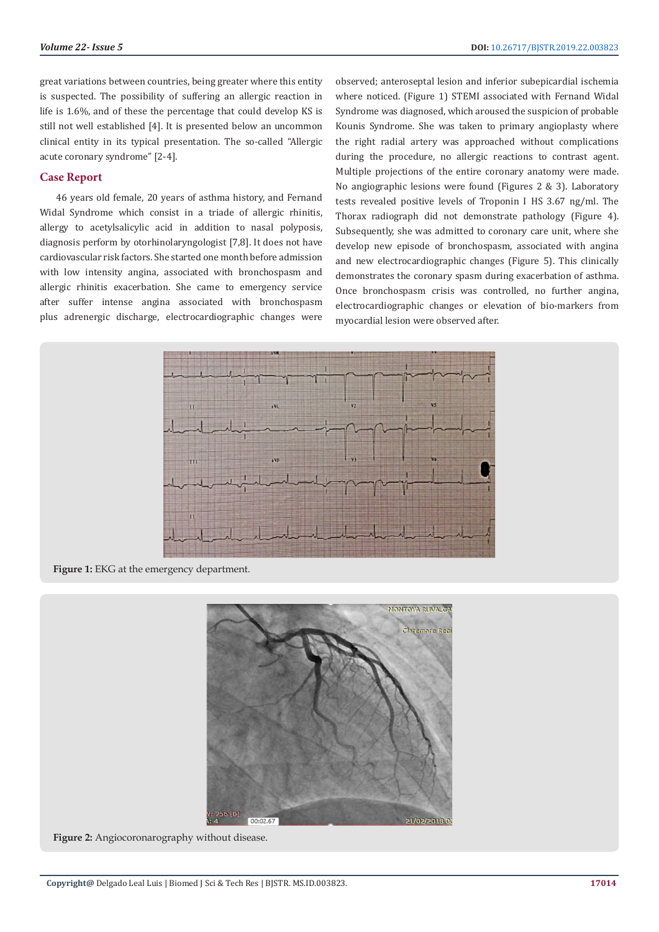great variations between countries, being greater where this entity is suspected. The possibility of suffering an allergic reaction in life is 1.6%, and of these the percentage that could develop KS is still not well established [4]. It is presented below an uncommon clinical entity in its typical presentation. The so-called "Allergic acute coronary syndrome" [2-4].

## **Case Report**

46 years old female, 20 years of asthma history, and Fernand Widal Syndrome which consist in a triade of allergic rhinitis, allergy to acetylsalicylic acid in addition to nasal polyposis, diagnosis perform by otorhinolaryngologist [7,8]. It does not have cardiovascular risk factors. She started one month before admission with low intensity angina, associated with bronchospasm and allergic rhinitis exacerbation. She came to emergency service after suffer intense angina associated with bronchospasm plus adrenergic discharge, electrocardiographic changes were

observed; anteroseptal lesion and inferior subepicardial ischemia where noticed. (Figure 1) STEMI associated with Fernand Widal Syndrome was diagnosed, which aroused the suspicion of probable Kounis Syndrome. She was taken to primary angioplasty where the right radial artery was approached without complications during the procedure, no allergic reactions to contrast agent. Multiple projections of the entire coronary anatomy were made. No angiographic lesions were found (Figures 2 & 3). Laboratory tests revealed positive levels of Troponin I HS 3.67 ng/ml. The Thorax radiograph did not demonstrate pathology (Figure 4). Subsequently, she was admitted to coronary care unit, where she develop new episode of bronchospasm, associated with angina and new electrocardiographic changes (Figure 5). This clinically demonstrates the coronary spasm during exacerbation of asthma. Once bronchospasm crisis was controlled, no further angina, electrocardiographic changes or elevation of bio-markers from myocardial lesion were observed after.



Figure 1: EKG at the emergency department.



**Figure 2:** Angiocoronarography without disease.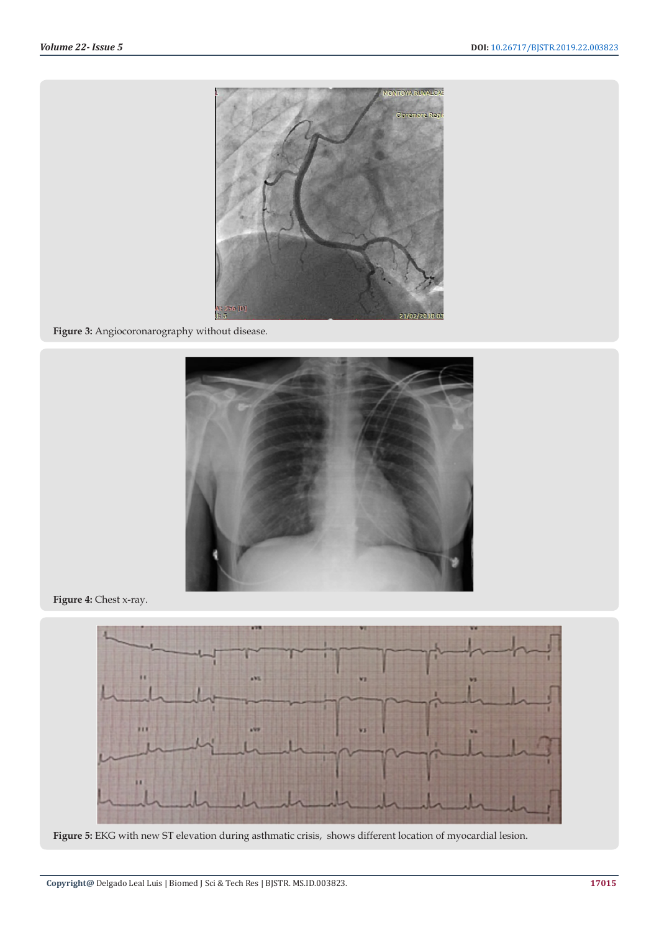

**Figure 3:** Angiocoronarography without disease.



**Figure 4:** Chest x-ray.



**Figure 5:** EKG with new ST elevation during asthmatic crisis, shows different location of myocardial lesion.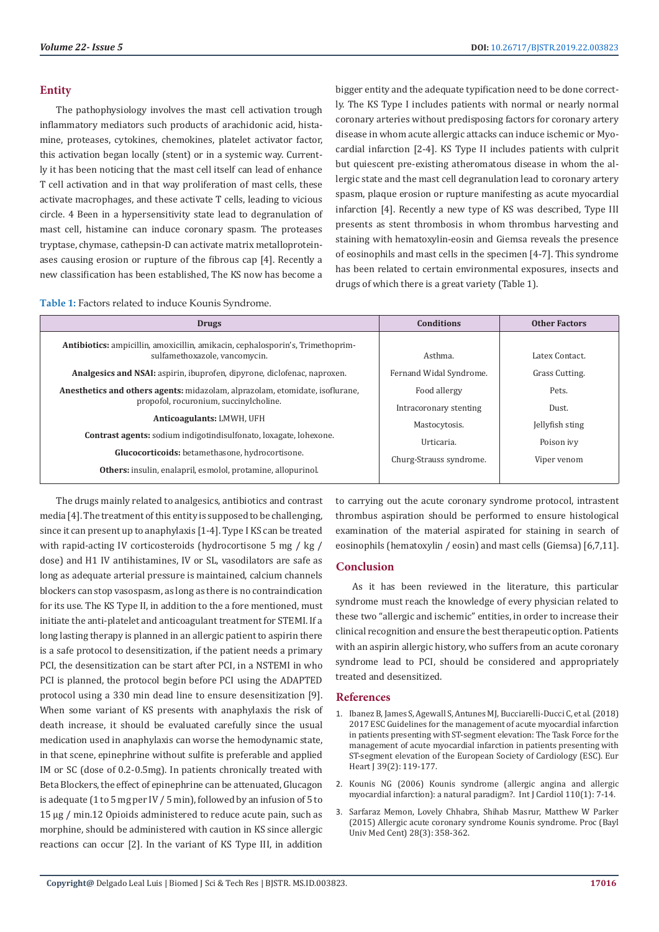## **Entity**

The pathophysiology involves the mast cell activation trough inflammatory mediators such products of arachidonic acid, histamine, proteases, cytokines, chemokines, platelet activator factor, this activation began locally (stent) or in a systemic way. Currently it has been noticing that the mast cell itself can lead of enhance T cell activation and in that way proliferation of mast cells, these activate macrophages, and these activate T cells, leading to vicious circle. 4 Been in a hypersensitivity state lead to degranulation of mast cell, histamine can induce coronary spasm. The proteases tryptase, chymase, cathepsin-D can activate matrix metalloproteinases causing erosion or rupture of the fibrous cap [4]. Recently a new classification has been established, The KS now has become a

bigger entity and the adequate typification need to be done correctly. The KS Type I includes patients with normal or nearly normal coronary arteries without predisposing factors for coronary artery disease in whom acute allergic attacks can induce ischemic or Myocardial infarction [2-4]. KS Type II includes patients with culprit but quiescent pre-existing atheromatous disease in whom the allergic state and the mast cell degranulation lead to coronary artery spasm, plaque erosion or rupture manifesting as acute myocardial infarction [4]. Recently a new type of KS was described, Type III presents as stent thrombosis in whom thrombus harvesting and staining with hematoxylin-eosin and Giemsa reveals the presence of eosinophils and mast cells in the specimen [4-7]. This syndrome has been related to certain environmental exposures, insects and drugs of which there is a great variety (Table 1).

| Table 1: Factors related to induce Kounis Syndrome. |  |
|-----------------------------------------------------|--|
|-----------------------------------------------------|--|

| <b>Drugs</b>                                                                                                           | <b>Conditions</b>                      | <b>Other Factors</b> |
|------------------------------------------------------------------------------------------------------------------------|----------------------------------------|----------------------|
| <b>Antibiotics:</b> ampicillin, amoxicillin, amikacin, cephalosporin's, Trimethoprim-<br>sulfamethoxazole, vancomycin. | Asthma.                                | Latex Contact.       |
| <b>Analgesics and NSAI:</b> aspirin, ibuprofen, dipyrone, diclofenac, naproxen.                                        | Fernand Widal Syndrome.                | Grass Cutting.       |
| Anesthetics and others agents: midazolam, alprazolam, etomidate, isoflurane,<br>propofol, rocuronium, succinylcholine. | Food allergy<br>Intracoronary stenting | Pets.<br>Dust.       |
| Anticoagulants: LMWH, UFH                                                                                              | Mastocytosis.                          | Jellyfish sting      |
| <b>Contrast agents:</b> sodium indigotindisulfonato, loxagate, lohexone.                                               | Urticaria.                             | Poison ivy           |
| Glucocorticoids: betamethasone, hydrocortisone.                                                                        | Churg-Strauss syndrome.                | Viper venom          |
| Others: insulin, enalapril, esmolol, protamine, allopurinol.                                                           |                                        |                      |

The drugs mainly related to analgesics, antibiotics and contrast media [4]. The treatment of this entity is supposed to be challenging, since it can present up to anaphylaxis [1-4]. Type I KS can be treated with rapid-acting IV corticosteroids (hydrocortisone 5 mg / kg / dose) and H1 IV antihistamines, IV or SL, vasodilators are safe as long as adequate arterial pressure is maintained, calcium channels blockers can stop vasospasm, as long as there is no contraindication for its use. The KS Type II, in addition to the a fore mentioned, must initiate the anti-platelet and anticoagulant treatment for STEMI. If a long lasting therapy is planned in an allergic patient to aspirin there is a safe protocol to desensitization, if the patient needs a primary PCI, the desensitization can be start after PCI, in a NSTEMI in who PCI is planned, the protocol begin before PCI using the ADAPTED protocol using a 330 min dead line to ensure desensitization [9]. When some variant of KS presents with anaphylaxis the risk of death increase, it should be evaluated carefully since the usual medication used in anaphylaxis can worse the hemodynamic state, in that scene, epinephrine without sulfite is preferable and applied IM or SC (dose of 0.2-0.5mg). In patients chronically treated with Beta Blockers, the effect of epinephrine can be attenuated, Glucagon is adequate (1 to 5 mg per IV / 5 min), followed by an infusion of 5 to 15 μg / min.12 Opioids administered to reduce acute pain, such as morphine, should be administered with caution in KS since allergic reactions can occur [2]. In the variant of KS Type III, in addition

to carrying out the acute coronary syndrome protocol, intrastent thrombus aspiration should be performed to ensure histological examination of the material aspirated for staining in search of eosinophils (hematoxylin / eosin) and mast cells (Giemsa) [6,7,11].

# **Conclusion**

As it has been reviewed in the literature, this particular syndrome must reach the knowledge of every physician related to these two "allergic and ischemic" entities, in order to increase their clinical recognition and ensure the best therapeutic option. Patients with an aspirin allergic history, who suffers from an acute coronary syndrome lead to PCI, should be considered and appropriately treated and desensitized.

#### **References**

- 1. [Ibanez B, James S, Agewall S, Antunes MJ, Bucciarelli-Ducci C, et al. \(2018\)](https://www.ncbi.nlm.nih.gov/pubmed/28886621) [2017 ESC Guidelines for the management of acute myocardial infarction](https://www.ncbi.nlm.nih.gov/pubmed/28886621) [in patients presenting with ST-segment elevation: The Task Force for the](https://www.ncbi.nlm.nih.gov/pubmed/28886621) [management of acute myocardial infarction in patients presenting with](https://www.ncbi.nlm.nih.gov/pubmed/28886621) [ST-segment elevation of the European Society of Cardiology \(ESC\). Eur](https://www.ncbi.nlm.nih.gov/pubmed/28886621) [Heart J 39\(2\): 119-177.](https://www.ncbi.nlm.nih.gov/pubmed/28886621)
- 2. [Kounis NG \(2006\) Kounis syndrome \(allergic angina and allergic](https://www.ncbi.nlm.nih.gov/pubmed/16249041) [myocardial infarction\): a natural paradigm?. Int J Cardiol 110\(1\): 7-14.](https://www.ncbi.nlm.nih.gov/pubmed/16249041)
- 3. [Sarfaraz Memon, Lovely Chhabra, Shihab Masrur, Matthew W Parker](https://www.ncbi.nlm.nih.gov/pmc/articles/PMC4462222/) [\(2015\) Allergic acute coronary syndrome Kounis syndrome. Proc \(Bayl](https://www.ncbi.nlm.nih.gov/pmc/articles/PMC4462222/) [Univ Med Cent\) 28\(3\): 358-362.](https://www.ncbi.nlm.nih.gov/pmc/articles/PMC4462222/)